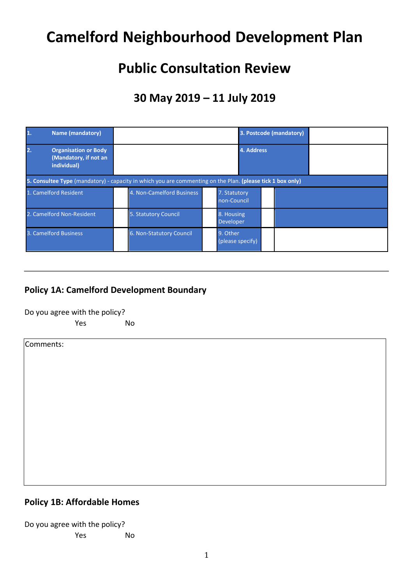# **Camelford Neighbourhood Development Plan**

# **Public Consultation Review**

# **30 May 2019 – 11 July 2019**

|    | <b>Name (mandatory)</b>                                                                                    |                           |          | 3. Postcode (mandatory)     |            |  |  |  |
|----|------------------------------------------------------------------------------------------------------------|---------------------------|----------|-----------------------------|------------|--|--|--|
| 2. | <b>Organisation or Body</b><br>(Mandatory, if not an<br>individual)                                        |                           |          |                             | 4. Address |  |  |  |
|    | 5. Consultee Type (mandatory) - capacity in which you are commenting on the Plan. (please tick 1 box only) |                           |          |                             |            |  |  |  |
|    | 1. Camelford Resident                                                                                      | 4. Non-Camelford Business |          | 7. Statutory<br>non-Council |            |  |  |  |
|    | 2. Camelford Non-Resident                                                                                  | 5. Statutory Council      |          | 8. Housing<br>Developer     |            |  |  |  |
|    | 3. Camelford Business                                                                                      | 6. Non-Statutory Council  | 9. Other | (please specify)            |            |  |  |  |

#### **Policy 1A: Camelford Development Boundary**

Do you agree with the policy?

Yes No

Comments:

#### **Policy 1B: Affordable Homes**

| Do you agree with the policy? |    |
|-------------------------------|----|
| Yes                           | Nο |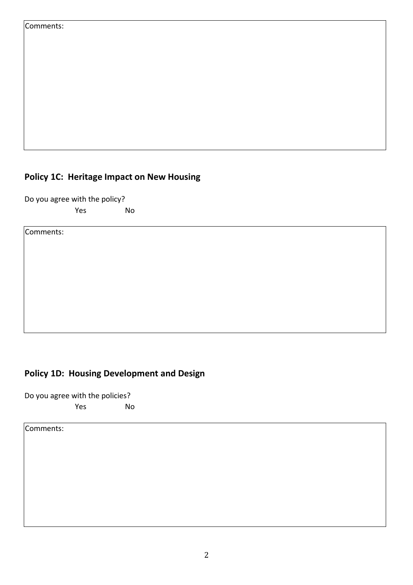| Comments: |
|-----------|
|-----------|

### **Policy 1C: Heritage Impact on New Housing**

Do you agree with the policy? Yes No

Comments:

### **Policy 1D: Housing Development and Design**

Do you agree with the policies? Yes No

Comments: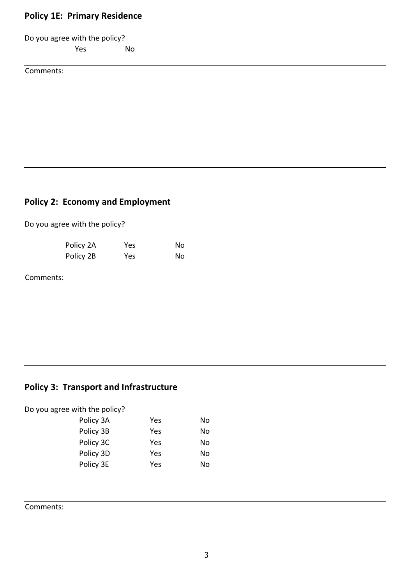#### **Policy 1E: Primary Residence**

Do you agree with the policy?

Yes No

Comments:

#### **Policy 2: Economy and Employment**

Do you agree with the policy?

| Policy 2A | Yes | No |
|-----------|-----|----|
| Policy 2B | Yes | No |

Comments:

#### **Policy 3: Transport and Infrastructure**

Do you agree with the policy? Policy 3A Yes No Policy 3B Yes No Policy 3C Yes No Policy 3D Yes No Policy 3E Yes No

Comments: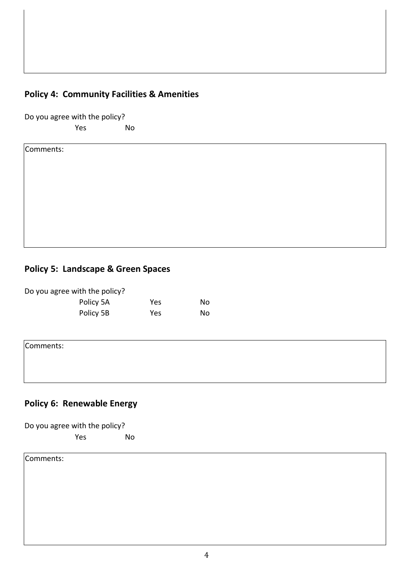#### **Policy 4: Community Facilities & Amenities**

Do you agree with the policy?

Yes No

Comments:

#### **Policy 5: Landscape & Green Spaces**

| Do you agree with the policy? |     |     |
|-------------------------------|-----|-----|
| Policy 5A                     | Yes | No  |
| Policy 5B                     | Yes | No. |

Comments:

## **Policy 6: Renewable Energy**

| Do you agree with the policy? |  |    |
|-------------------------------|--|----|
| $V_{\rm A}$                   |  | M. |

Yes No

Comments: